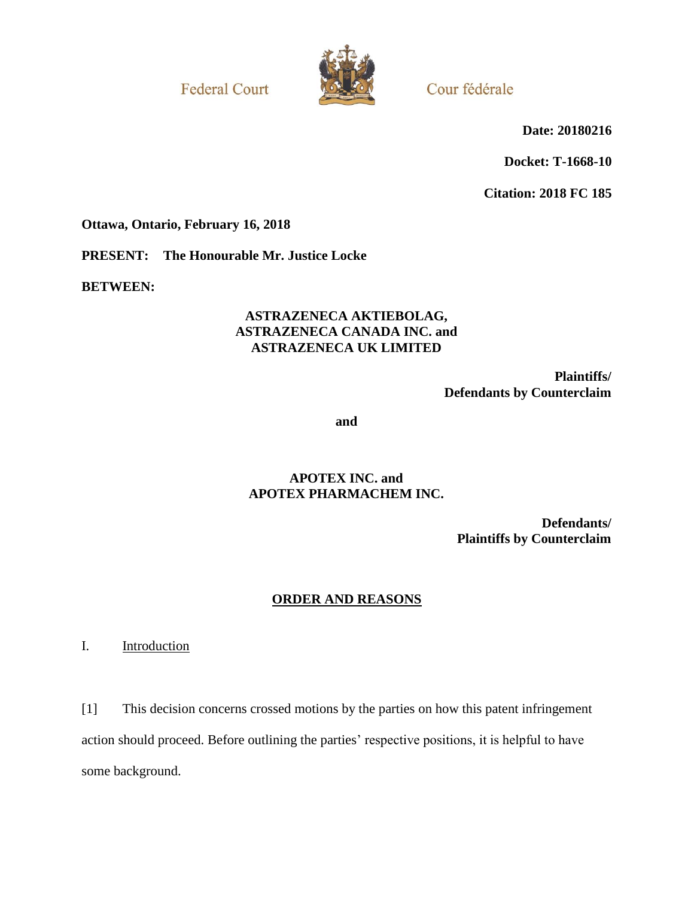**Federal Court** 



Cour fédérale

**Date: 20180216**

**Docket: T-1668-10**

**Citation: 2018 FC 185**

**Ottawa, Ontario, February 16, 2018**

**PRESENT: The Honourable Mr. Justice Locke**

**BETWEEN:**

## **ASTRAZENECA AKTIEBOLAG, ASTRAZENECA CANADA INC. and ASTRAZENECA UK LIMITED**

**Plaintiffs/ Defendants by Counterclaim**

**and**

## **APOTEX INC. and APOTEX PHARMACHEM INC.**

**Defendants/ Plaintiffs by Counterclaim**

# **ORDER AND REASONS**

I. Introduction

[1] This decision concerns crossed motions by the parties on how this patent infringement action should proceed. Before outlining the parties' respective positions, it is helpful to have some background.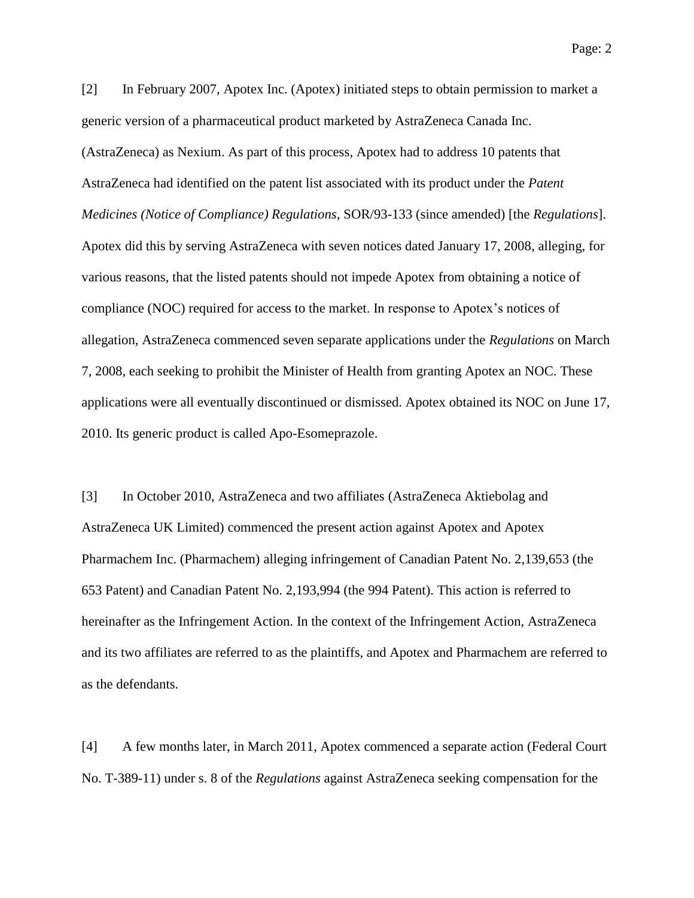[2] In February 2007, Apotex Inc. (Apotex) initiated steps to obtain permission to market a generic version of a pharmaceutical product marketed by AstraZeneca Canada Inc. (AstraZeneca) as Nexium. As part of this process, Apotex had to address 10 patents that AstraZeneca had identified on the patent list associated with its product under the *Patent Medicines (Notice of Compliance) Regulations*, SOR/93-133 (since amended) [the *Regulations*]. Apotex did this by serving AstraZeneca with seven notices dated January 17, 2008, alleging, for various reasons, that the listed patents should not impede Apotex from obtaining a notice of compliance (NOC) required for access to the market. In response to Apotex's notices of allegation, AstraZeneca commenced seven separate applications under the *Regulations* on March 7, 2008, each seeking to prohibit the Minister of Health from granting Apotex an NOC. These applications were all eventually discontinued or dismissed. Apotex obtained its NOC on June 17, 2010. Its generic product is called Apo-Esomeprazole.

[3] In October 2010, AstraZeneca and two affiliates (AstraZeneca Aktiebolag and AstraZeneca UK Limited) commenced the present action against Apotex and Apotex Pharmachem Inc. (Pharmachem) alleging infringement of Canadian Patent No. 2,139,653 (the 653 Patent) and Canadian Patent No. 2,193,994 (the 994 Patent). This action is referred to hereinafter as the Infringement Action. In the context of the Infringement Action, AstraZeneca and its two affiliates are referred to as the plaintiffs, and Apotex and Pharmachem are referred to as the defendants.

[4] A few months later, in March 2011, Apotex commenced a separate action (Federal Court No. T-389-11) under s. 8 of the *Regulations* against AstraZeneca seeking compensation for the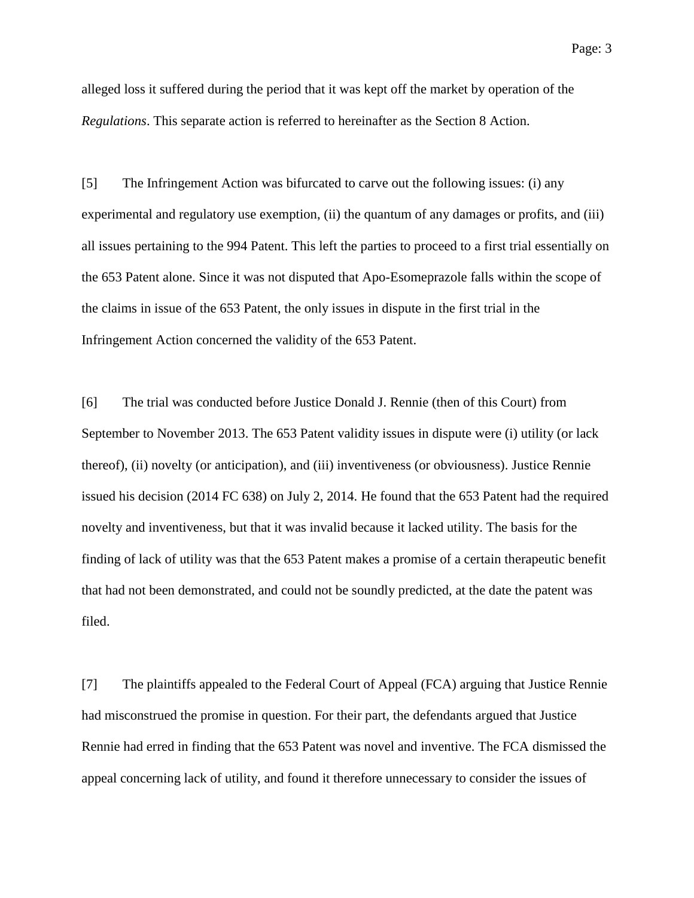alleged loss it suffered during the period that it was kept off the market by operation of the *Regulations*. This separate action is referred to hereinafter as the Section 8 Action.

[5] The Infringement Action was bifurcated to carve out the following issues: (i) any experimental and regulatory use exemption, (ii) the quantum of any damages or profits, and (iii) all issues pertaining to the 994 Patent. This left the parties to proceed to a first trial essentially on the 653 Patent alone. Since it was not disputed that Apo-Esomeprazole falls within the scope of the claims in issue of the 653 Patent, the only issues in dispute in the first trial in the Infringement Action concerned the validity of the 653 Patent.

[6] The trial was conducted before Justice Donald J. Rennie (then of this Court) from September to November 2013. The 653 Patent validity issues in dispute were (i) utility (or lack thereof), (ii) novelty (or anticipation), and (iii) inventiveness (or obviousness). Justice Rennie issued his decision (2014 FC 638) on July 2, 2014. He found that the 653 Patent had the required novelty and inventiveness, but that it was invalid because it lacked utility. The basis for the finding of lack of utility was that the 653 Patent makes a promise of a certain therapeutic benefit that had not been demonstrated, and could not be soundly predicted, at the date the patent was filed.

[7] The plaintiffs appealed to the Federal Court of Appeal (FCA) arguing that Justice Rennie had misconstrued the promise in question. For their part, the defendants argued that Justice Rennie had erred in finding that the 653 Patent was novel and inventive. The FCA dismissed the appeal concerning lack of utility, and found it therefore unnecessary to consider the issues of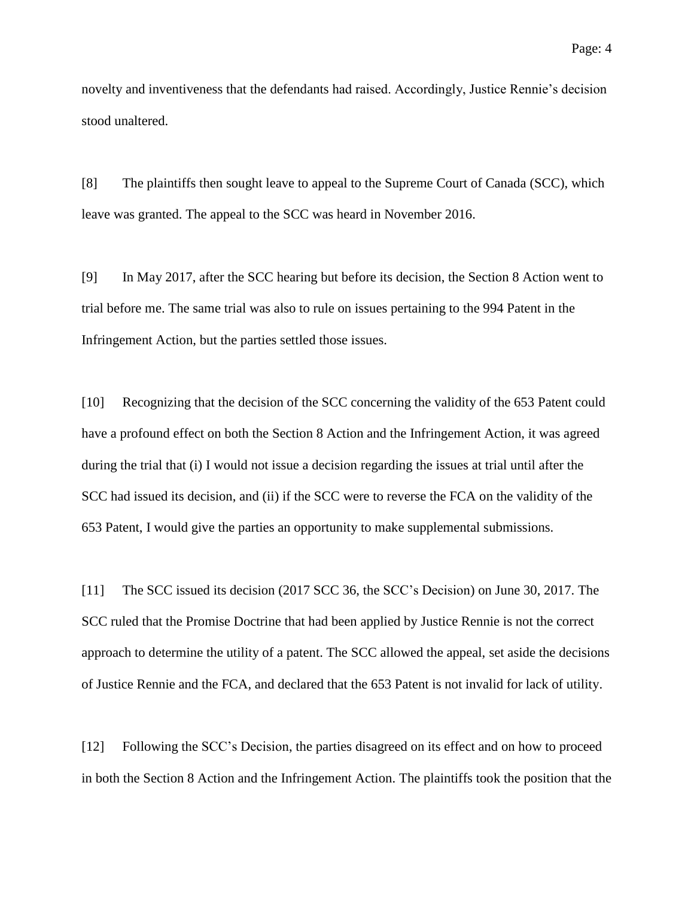novelty and inventiveness that the defendants had raised. Accordingly, Justice Rennie's decision stood unaltered.

[8] The plaintiffs then sought leave to appeal to the Supreme Court of Canada (SCC), which leave was granted. The appeal to the SCC was heard in November 2016.

[9] In May 2017, after the SCC hearing but before its decision, the Section 8 Action went to trial before me. The same trial was also to rule on issues pertaining to the 994 Patent in the Infringement Action, but the parties settled those issues.

[10] Recognizing that the decision of the SCC concerning the validity of the 653 Patent could have a profound effect on both the Section 8 Action and the Infringement Action, it was agreed during the trial that (i) I would not issue a decision regarding the issues at trial until after the SCC had issued its decision, and (ii) if the SCC were to reverse the FCA on the validity of the 653 Patent, I would give the parties an opportunity to make supplemental submissions.

[11] The SCC issued its decision (2017 SCC 36, the SCC's Decision) on June 30, 2017. The SCC ruled that the Promise Doctrine that had been applied by Justice Rennie is not the correct approach to determine the utility of a patent. The SCC allowed the appeal, set aside the decisions of Justice Rennie and the FCA, and declared that the 653 Patent is not invalid for lack of utility.

<span id="page-3-0"></span>[12] Following the SCC's Decision, the parties disagreed on its effect and on how to proceed in both the Section 8 Action and the Infringement Action. The plaintiffs took the position that the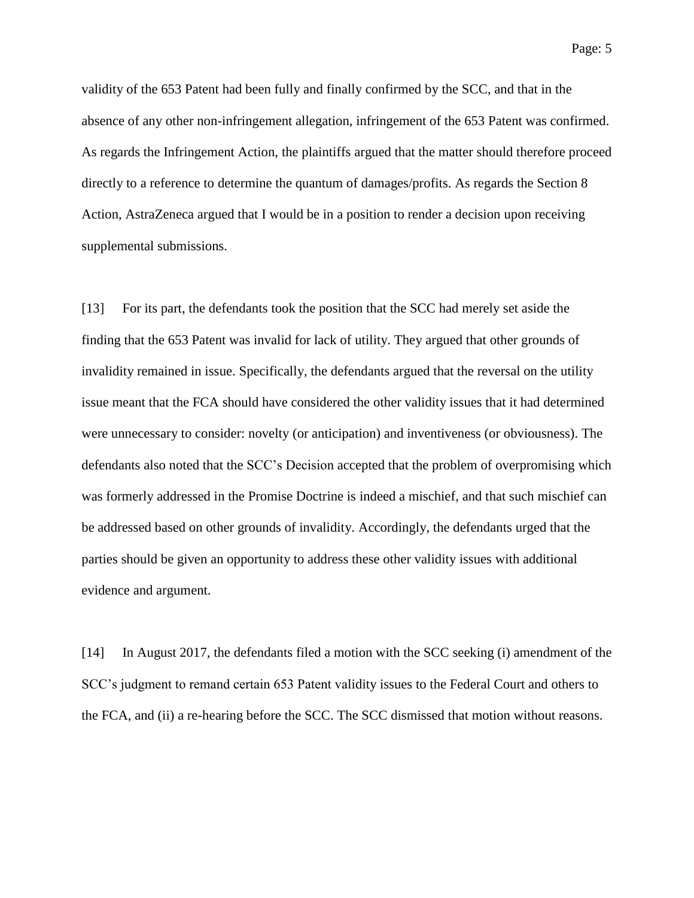Page: 5

validity of the 653 Patent had been fully and finally confirmed by the SCC, and that in the absence of any other non-infringement allegation, infringement of the 653 Patent was confirmed. As regards the Infringement Action, the plaintiffs argued that the matter should therefore proceed directly to a reference to determine the quantum of damages/profits. As regards the Section 8 Action, AstraZeneca argued that I would be in a position to render a decision upon receiving supplemental submissions.

[13] For its part, the defendants took the position that the SCC had merely set aside the finding that the 653 Patent was invalid for lack of utility. They argued that other grounds of invalidity remained in issue. Specifically, the defendants argued that the reversal on the utility issue meant that the FCA should have considered the other validity issues that it had determined were unnecessary to consider: novelty (or anticipation) and inventiveness (or obviousness). The defendants also noted that the SCC's Decision accepted that the problem of overpromising which was formerly addressed in the Promise Doctrine is indeed a mischief, and that such mischief can be addressed based on other grounds of invalidity. Accordingly, the defendants urged that the parties should be given an opportunity to address these other validity issues with additional evidence and argument.

[14] In August 2017, the defendants filed a motion with the SCC seeking (i) amendment of the SCC's judgment to remand certain 653 Patent validity issues to the Federal Court and others to the FCA, and (ii) a re-hearing before the SCC. The SCC dismissed that motion without reasons.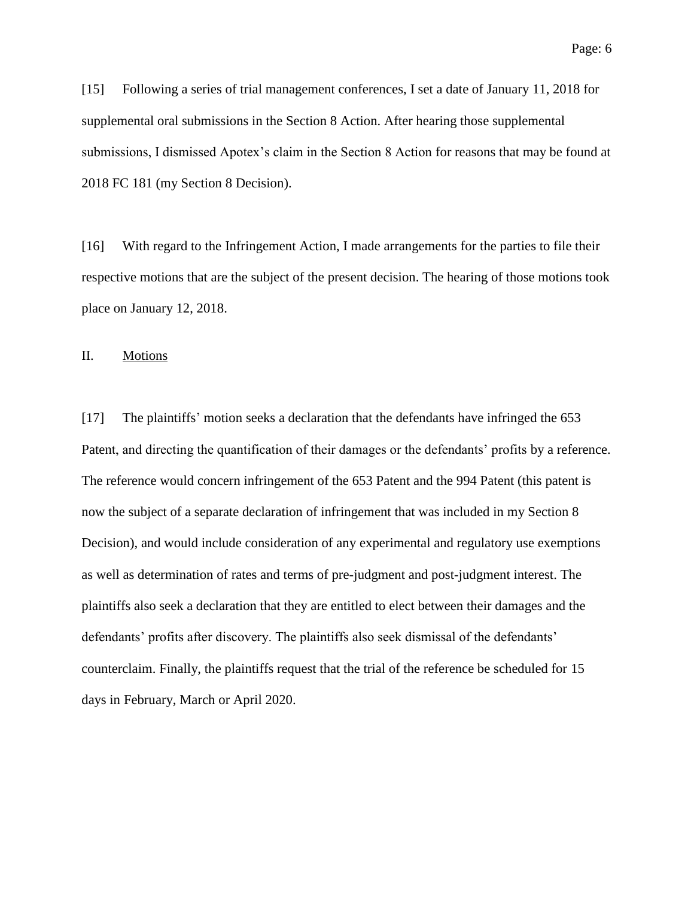[15] Following a series of trial management conferences, I set a date of January 11, 2018 for supplemental oral submissions in the Section 8 Action. After hearing those supplemental submissions, I dismissed Apotex's claim in the Section 8 Action for reasons that may be found at 2018 FC 181 (my Section 8 Decision).

[16] With regard to the Infringement Action, I made arrangements for the parties to file their respective motions that are the subject of the present decision. The hearing of those motions took place on January 12, 2018.

II. Motions

[17] The plaintiffs' motion seeks a declaration that the defendants have infringed the 653 Patent, and directing the quantification of their damages or the defendants' profits by a reference. The reference would concern infringement of the 653 Patent and the 994 Patent (this patent is now the subject of a separate declaration of infringement that was included in my Section 8 Decision), and would include consideration of any experimental and regulatory use exemptions as well as determination of rates and terms of pre-judgment and post-judgment interest. The plaintiffs also seek a declaration that they are entitled to elect between their damages and the defendants' profits after discovery. The plaintiffs also seek dismissal of the defendants' counterclaim. Finally, the plaintiffs request that the trial of the reference be scheduled for 15 days in February, March or April 2020.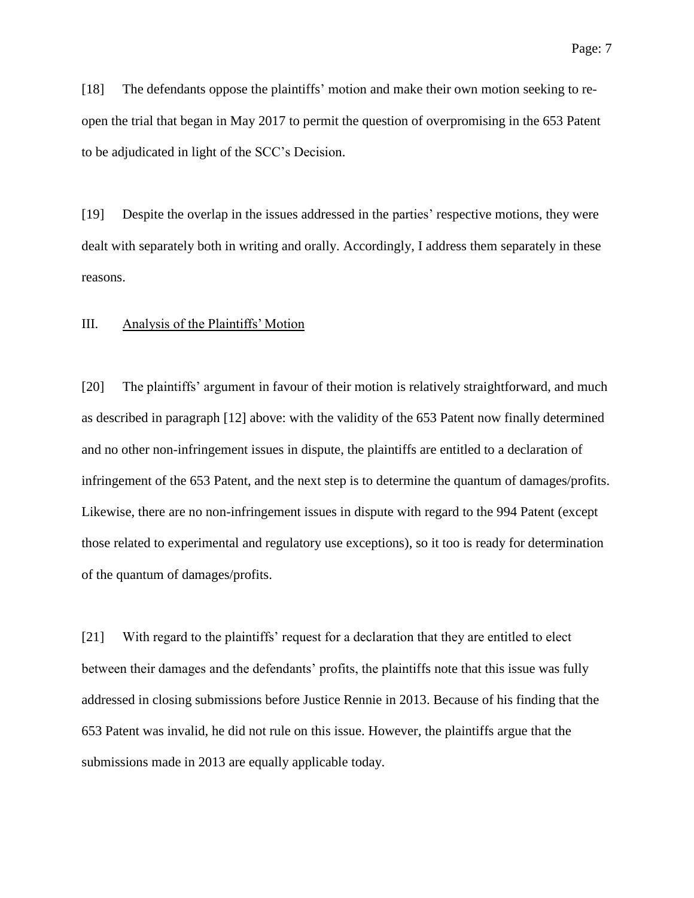[18] The defendants oppose the plaintiffs' motion and make their own motion seeking to reopen the trial that began in May 2017 to permit the question of overpromising in the 653 Patent to be adjudicated in light of the SCC's Decision.

[19] Despite the overlap in the issues addressed in the parties' respective motions, they were dealt with separately both in writing and orally. Accordingly, I address them separately in these reasons.

#### III. Analysis of the Plaintiffs' Motion

[20] The plaintiffs' argument in favour of their motion is relatively straightforward, and much as described in paragraph [\[12\]](#page-3-0) above: with the validity of the 653 Patent now finally determined and no other non-infringement issues in dispute, the plaintiffs are entitled to a declaration of infringement of the 653 Patent, and the next step is to determine the quantum of damages/profits. Likewise, there are no non-infringement issues in dispute with regard to the 994 Patent (except those related to experimental and regulatory use exceptions), so it too is ready for determination of the quantum of damages/profits.

[21] With regard to the plaintiffs' request for a declaration that they are entitled to elect between their damages and the defendants' profits, the plaintiffs note that this issue was fully addressed in closing submissions before Justice Rennie in 2013. Because of his finding that the 653 Patent was invalid, he did not rule on this issue. However, the plaintiffs argue that the submissions made in 2013 are equally applicable today.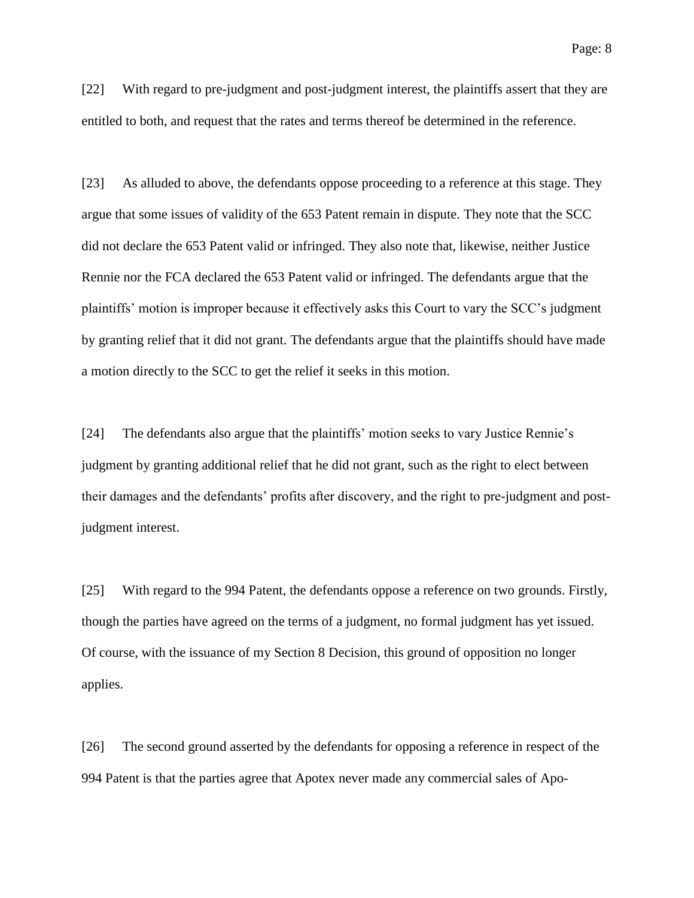[22] With regard to pre-judgment and post-judgment interest, the plaintiffs assert that they are entitled to both, and request that the rates and terms thereof be determined in the reference.

[23] As alluded to above, the defendants oppose proceeding to a reference at this stage. They argue that some issues of validity of the 653 Patent remain in dispute. They note that the SCC did not declare the 653 Patent valid or infringed. They also note that, likewise, neither Justice Rennie nor the FCA declared the 653 Patent valid or infringed. The defendants argue that the plaintiffs' motion is improper because it effectively asks this Court to vary the SCC's judgment by granting relief that it did not grant. The defendants argue that the plaintiffs should have made a motion directly to the SCC to get the relief it seeks in this motion.

[24] The defendants also argue that the plaintiffs' motion seeks to vary Justice Rennie's judgment by granting additional relief that he did not grant, such as the right to elect between their damages and the defendants' profits after discovery, and the right to pre-judgment and postjudgment interest.

[25] With regard to the 994 Patent, the defendants oppose a reference on two grounds. Firstly, though the parties have agreed on the terms of a judgment, no formal judgment has yet issued. Of course, with the issuance of my Section 8 Decision, this ground of opposition no longer applies.

[26] The second ground asserted by the defendants for opposing a reference in respect of the 994 Patent is that the parties agree that Apotex never made any commercial sales of Apo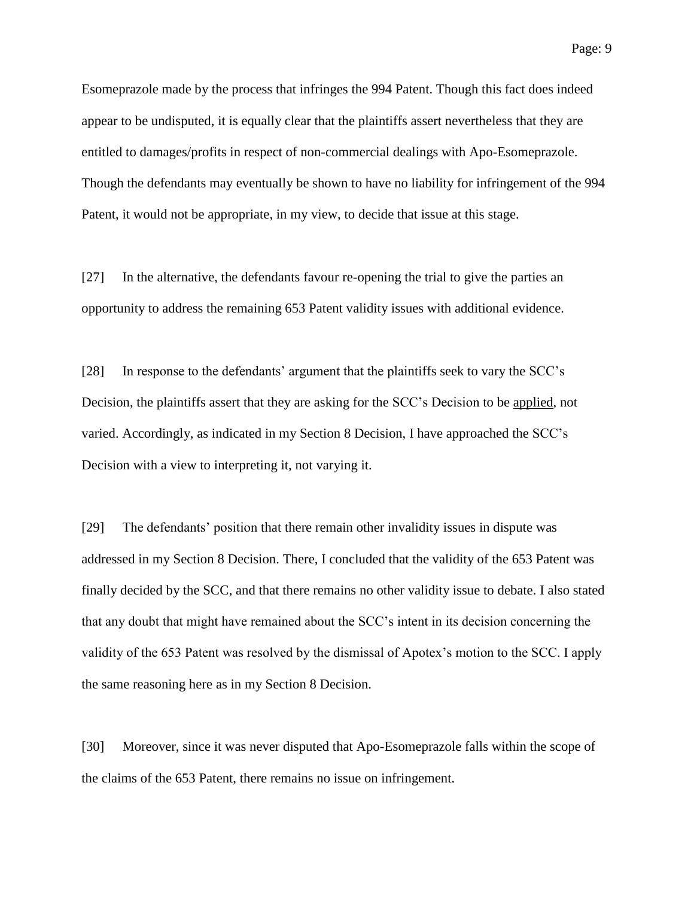Esomeprazole made by the process that infringes the 994 Patent. Though this fact does indeed appear to be undisputed, it is equally clear that the plaintiffs assert nevertheless that they are entitled to damages/profits in respect of non-commercial dealings with Apo-Esomeprazole. Though the defendants may eventually be shown to have no liability for infringement of the 994 Patent, it would not be appropriate, in my view, to decide that issue at this stage.

[27] In the alternative, the defendants favour re-opening the trial to give the parties an opportunity to address the remaining 653 Patent validity issues with additional evidence.

[28] In response to the defendants' argument that the plaintiffs seek to vary the SCC's Decision, the plaintiffs assert that they are asking for the SCC's Decision to be applied, not varied. Accordingly, as indicated in my Section 8 Decision, I have approached the SCC's Decision with a view to interpreting it, not varying it.

[29] The defendants' position that there remain other invalidity issues in dispute was addressed in my Section 8 Decision. There, I concluded that the validity of the 653 Patent was finally decided by the SCC, and that there remains no other validity issue to debate. I also stated that any doubt that might have remained about the SCC's intent in its decision concerning the validity of the 653 Patent was resolved by the dismissal of Apotex's motion to the SCC. I apply the same reasoning here as in my Section 8 Decision.

[30] Moreover, since it was never disputed that Apo-Esomeprazole falls within the scope of the claims of the 653 Patent, there remains no issue on infringement.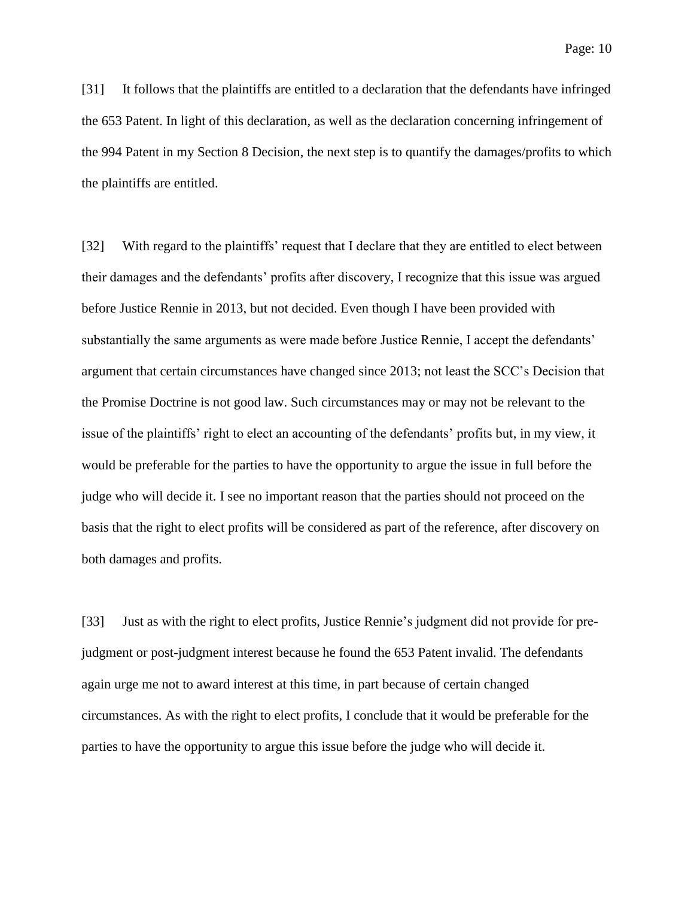[31] It follows that the plaintiffs are entitled to a declaration that the defendants have infringed the 653 Patent. In light of this declaration, as well as the declaration concerning infringement of the 994 Patent in my Section 8 Decision, the next step is to quantify the damages/profits to which the plaintiffs are entitled.

[32] With regard to the plaintiffs' request that I declare that they are entitled to elect between their damages and the defendants' profits after discovery, I recognize that this issue was argued before Justice Rennie in 2013, but not decided. Even though I have been provided with substantially the same arguments as were made before Justice Rennie, I accept the defendants' argument that certain circumstances have changed since 2013; not least the SCC's Decision that the Promise Doctrine is not good law. Such circumstances may or may not be relevant to the issue of the plaintiffs' right to elect an accounting of the defendants' profits but, in my view, it would be preferable for the parties to have the opportunity to argue the issue in full before the judge who will decide it. I see no important reason that the parties should not proceed on the basis that the right to elect profits will be considered as part of the reference, after discovery on both damages and profits.

[33] Just as with the right to elect profits, Justice Rennie's judgment did not provide for prejudgment or post-judgment interest because he found the 653 Patent invalid. The defendants again urge me not to award interest at this time, in part because of certain changed circumstances. As with the right to elect profits, I conclude that it would be preferable for the parties to have the opportunity to argue this issue before the judge who will decide it.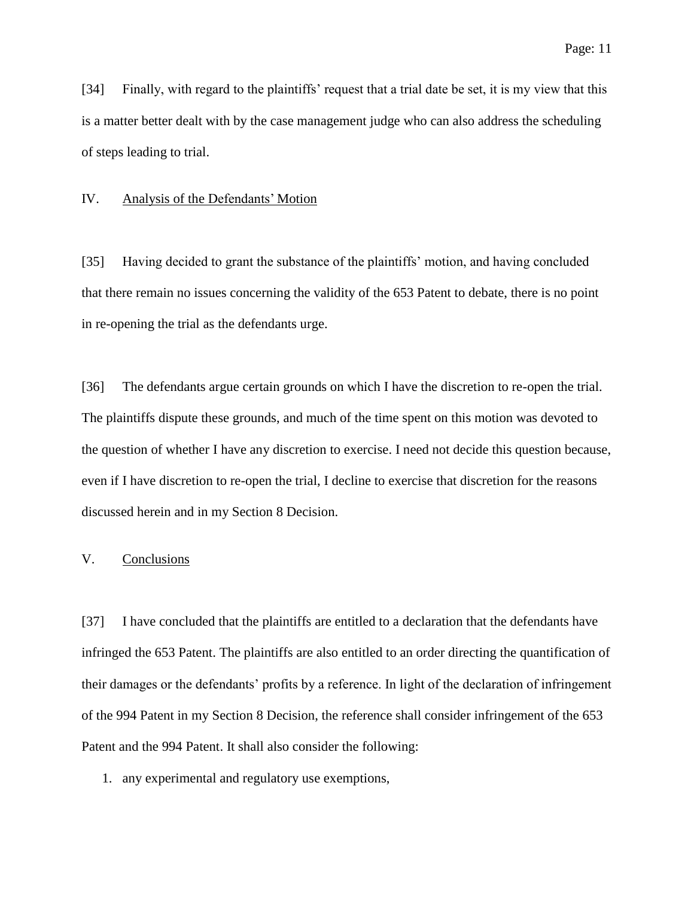[34] Finally, with regard to the plaintiffs' request that a trial date be set, it is my view that this is a matter better dealt with by the case management judge who can also address the scheduling of steps leading to trial.

#### IV. Analysis of the Defendants' Motion

[35] Having decided to grant the substance of the plaintiffs' motion, and having concluded that there remain no issues concerning the validity of the 653 Patent to debate, there is no point in re-opening the trial as the defendants urge.

[36] The defendants argue certain grounds on which I have the discretion to re-open the trial. The plaintiffs dispute these grounds, and much of the time spent on this motion was devoted to the question of whether I have any discretion to exercise. I need not decide this question because, even if I have discretion to re-open the trial, I decline to exercise that discretion for the reasons discussed herein and in my Section 8 Decision.

### V. Conclusions

[37] I have concluded that the plaintiffs are entitled to a declaration that the defendants have infringed the 653 Patent. The plaintiffs are also entitled to an order directing the quantification of their damages or the defendants' profits by a reference. In light of the declaration of infringement of the 994 Patent in my Section 8 Decision, the reference shall consider infringement of the 653 Patent and the 994 Patent. It shall also consider the following:

1. any experimental and regulatory use exemptions,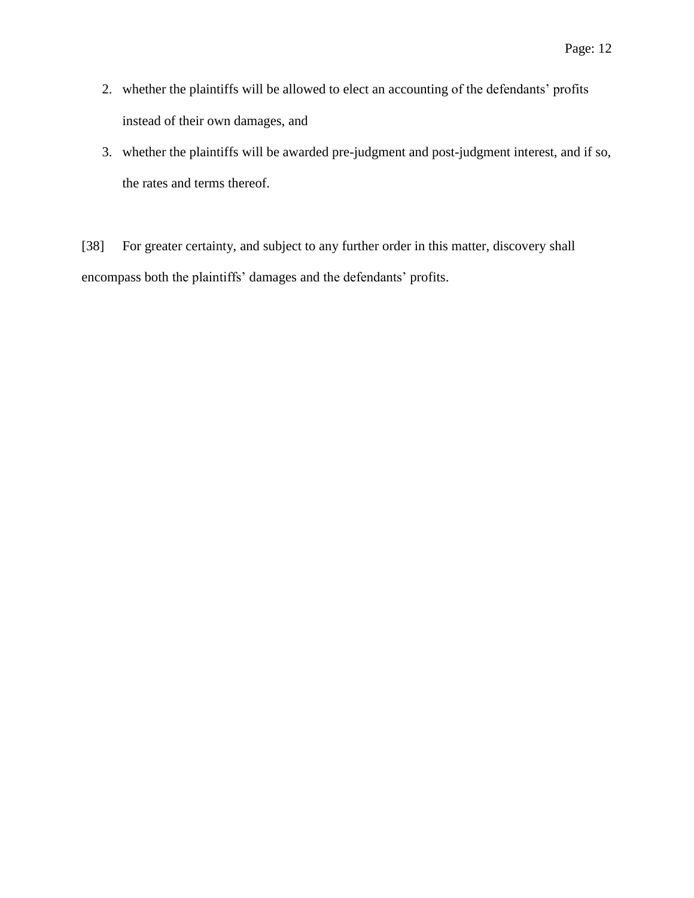- 2. whether the plaintiffs will be allowed to elect an accounting of the defendants' profits instead of their own damages, and
- 3. whether the plaintiffs will be awarded pre-judgment and post-judgment interest, and if so, the rates and terms thereof.

[38] For greater certainty, and subject to any further order in this matter, discovery shall encompass both the plaintiffs' damages and the defendants' profits.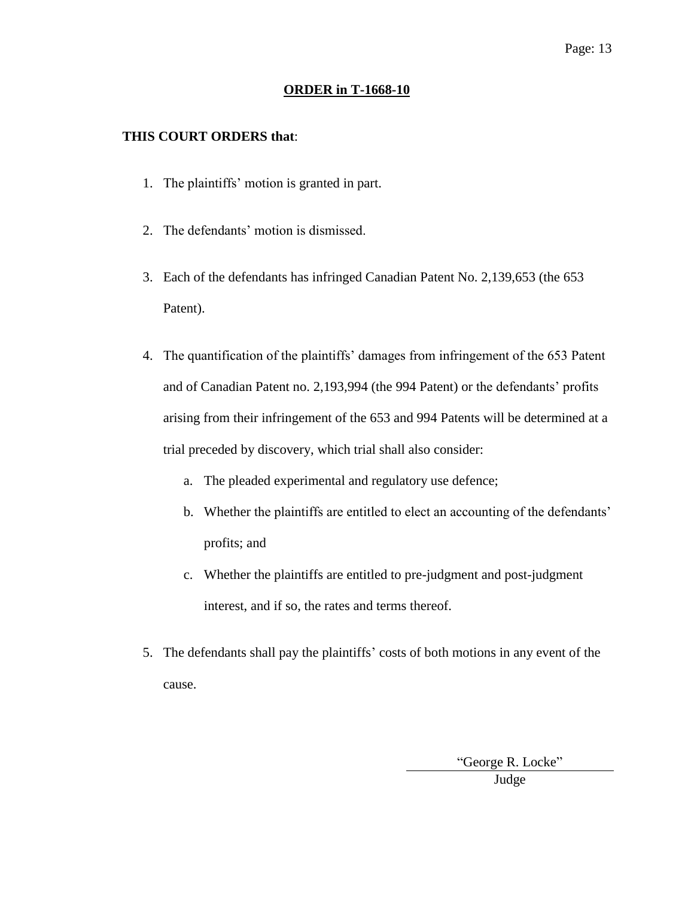#### **ORDER in T-1668-10**

### **THIS COURT ORDERS that**:

- 1. The plaintiffs' motion is granted in part.
- 2. The defendants' motion is dismissed.
- 3. Each of the defendants has infringed Canadian Patent No. 2,139,653 (the 653 Patent).
- 4. The quantification of the plaintiffs' damages from infringement of the 653 Patent and of Canadian Patent no. 2,193,994 (the 994 Patent) or the defendants' profits arising from their infringement of the 653 and 994 Patents will be determined at a trial preceded by discovery, which trial shall also consider:
	- a. The pleaded experimental and regulatory use defence;
	- b. Whether the plaintiffs are entitled to elect an accounting of the defendants' profits; and
	- c. Whether the plaintiffs are entitled to pre-judgment and post-judgment interest, and if so, the rates and terms thereof.
- 5. The defendants shall pay the plaintiffs' costs of both motions in any event of the cause.

"George R. Locke" Judge